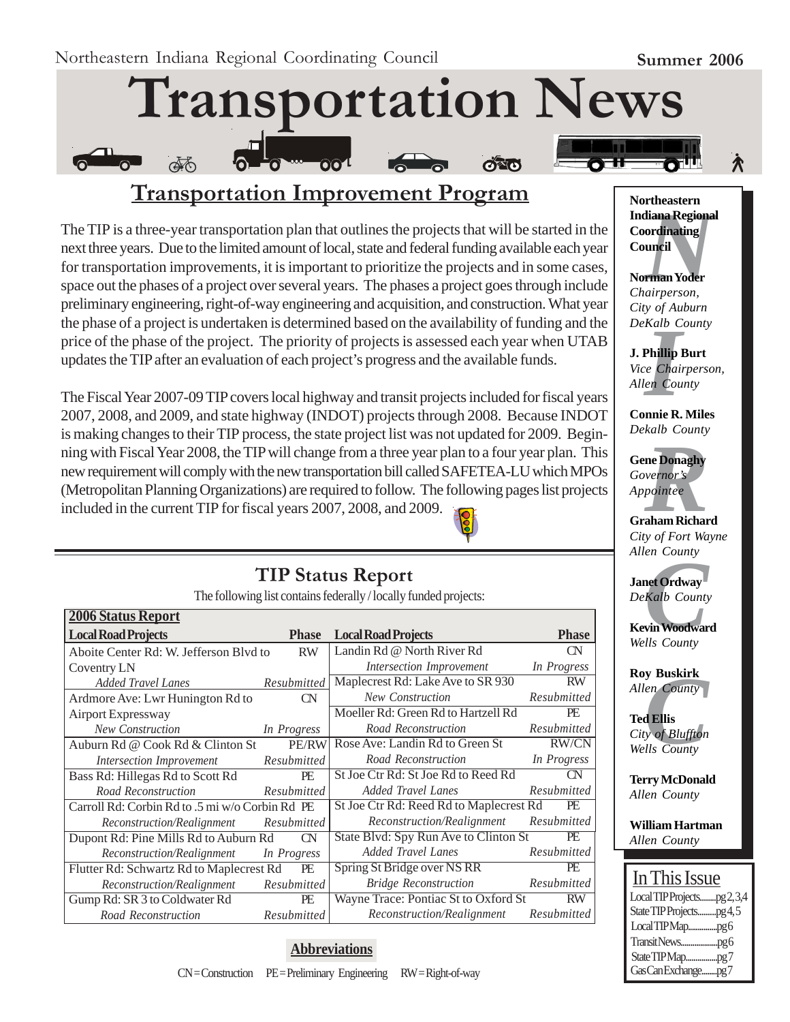À



# **Transportation Improvement Program**

The TIP is a three-year transportation plan that outlines the projects that will be started in the next three years. Due to the limited amount of local, state and federal funding available each year for transportation improvements, it is important to prioritize the projects and in some cases, space out the phases of a project over several years. The phases a project goes through include preliminary engineering, right-of-way engineering and acquisition, and construction. What year the phase of a project is undertaken is determined based on the availability of funding and the price of the phase of the project. The priority of projects is assessed each year when UTAB updates the TIP after an evaluation of each project's progress and the available funds.

The Fiscal Year 2007-09 TIP covers local highway and transit projects included for fiscal years 2007, 2008, and 2009, and state highway (INDOT) projects through 2008. Because INDOT is making changes to their TIP process, the state project list was not updated for 2009. Beginning with Fiscal Year 2008, the TIP will change from a three year plan to a four year plan. This new requirement will comply with the new transportation bill called SAFETEA-LU which MPOs (Metropolitan Planning Organizations) are required to follow. The following pages list projects included in the current TIP for fiscal years 2007, 2008, and 2009.



### **TIP Status Report**

The following list contains federally / locally funded projects:

| <b>2006 Status Report</b>                       |              |                                         |              |
|-------------------------------------------------|--------------|-----------------------------------------|--------------|
| <b>Local Road Projects</b>                      | <b>Phase</b> | <b>Local Road Projects</b>              | <b>Phase</b> |
| Aboite Center Rd: W. Jefferson Blvd to          | <b>RW</b>    | Landin Rd @ North River Rd              | CN           |
| Coventry LN                                     |              | Intersection Improvement                | In Progress  |
| <b>Added Travel Lanes</b>                       | Resubmitted  | Maplecrest Rd: Lake Ave to SR 930       | <b>RW</b>    |
| Ardmore Ave: Lwr Hunington Rd to                | CN           | <b>New Construction</b>                 | Resubmitted  |
| Airport Expressway                              |              | Moeller Rd: Green Rd to Hartzell Rd     | PE           |
| <b>New Construction</b>                         | In Progress  | Road Reconstruction                     | Resubmitted  |
| Auburn Rd @ Cook Rd & Clinton St                | PE/RW        | Rose Ave: Landin Rd to Green St         | <b>RW/CN</b> |
| Intersection Improvement                        | Resubmitted  | Road Reconstruction                     | In Progress  |
| Bass Rd: Hillegas Rd to Scott Rd                | PE           | St Joe Ctr Rd: St Joe Rd to Reed Rd     | CN           |
| Road Reconstruction                             | Resubmitted  | <b>Added Travel Lanes</b>               | Resubmitted  |
| Carroll Rd: Corbin Rd to .5 mi w/o Corbin Rd PE |              | St Joe Ctr Rd: Reed Rd to Maplecrest Rd | PE           |
| Reconstruction/Realignment                      | Resubmitted  | Reconstruction/Realignment              | Resubmitted  |
| Dupont Rd: Pine Mills Rd to Auburn Rd           | $\alpha$     | State Blvd: Spy Run Ave to Clinton St   | PE           |
| Reconstruction/Realignment                      | In Progress  | <b>Added Travel Lanes</b>               | Resubmitted  |
| Flutter Rd: Schwartz Rd to Maplecrest Rd        | PE           | Spring St Bridge over NS RR             | PE           |
| Reconstruction/Realignment                      | Resubmitted  | <b>Bridge Reconstruction</b>            | Resubmitted  |
| Gump Rd: SR 3 to Coldwater Rd                   | PE           | Wayne Trace: Pontiac St to Oxford St    | <b>RW</b>    |
| Road Reconstruction                             | Resubmitted  | Reconstruction/Realignment              | Resubmitted  |

#### **Abbreviations**

**Mortheastern<br>
Indiana Regional<br>
Coordinating<br>
Council<br>
Norman Yoder<br>** *Chairperson,* **Northeastern Coordinating Council**

**Norman Yoder** *Chairperson, City of Auburn DeKalb County*

*I* **J. Phillip Burt** *Vice Chairperson, Allen County*

**Connie R. Miles** *Dekalb County*

ne Donaghy<br>*vernor's*<br>*pointee*<br>aham Richar **Gene Donaghy** *Governor's Appointee*

**Graham Richard** *City of Fort Wayne Allen County*

*en County<br>Actionary<br>Kalb County<br>vin Woodwar<br>Ils County* **Janet Ordway** *DeKalb County*

**Kevin Woodward** *Wells County*

**Roy Buskirk** *Allen County*

**y Buskirk**<br>*en County*<br>**d Ellis**<br>y of Bluffton<br>Ils County **Ted Ellis** *City of Bluffton Wells County*

**Terry McDonald** *Allen County*

**William Hartman** *Allen County*

## In This Issue

| LocalTIPProjectspg2,3,4 |  |
|-------------------------|--|
| State TIP Projectspg4,5 |  |
|                         |  |
|                         |  |
|                         |  |
| GasCanExchangepg7       |  |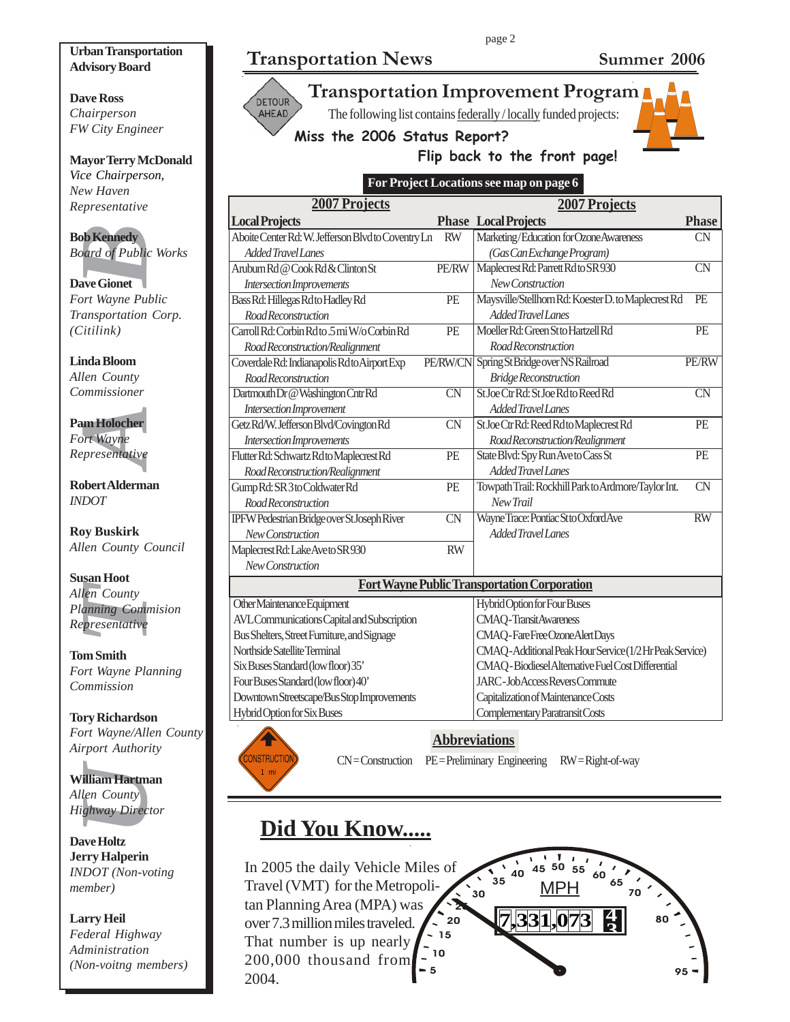#### **Urban Transportation Advisory Board**

**Dave Ross** *Chairperson FW City Engineer*

**Mayor Terry McDonald** *Vice Chairperson, New Haven Representative*

**Bob Kennedy** *Board of Public Works*

**Dave Gionet** *Fort Wayne Public Transportation Corp. (Citilink)*

**Linda Bloom** *Allen County Commissioner*

**Pam Holocher** *Fort Wayne Representative*

**Robert Alderman** *INDOT*

**Roy Buskirk** *Allen County Council*

**Definedly**<br>
Definedly<br>
Defined of Public<br>
New Gionet<br>
Defined any portation<br>
Unitary Public<br>
Unitary Public Public Unity<br>
Unitary Presentative<br>
Defined County<br>
Unity<br>
Defined County<br>
Defined County<br>
Defined County<br>
Define **Susan Hoot** *Allen County Planning Commision Representative*

**Tom Smith** *Fort Wayne Planning Commission*

**Tory Richardson** *Fort Wayne/Allen County Airport Authority*

**William Hartman** *Allen County Highway Director*

**Dave Holtz Jerry Halperin** *INDOT (Non-voting member)*

**Larry Heil** *Federal Highway Administration (Non-voitng members)*

# **Transportation News Summer 2006**

**DETOUR** AHEAD



The following list contains federally / locally funded projects:

**Miss the 2006 Status Report?**



### **Flip back to the front page!**

**For Project Locations see map on page 6**

| <b>2007 Projects</b>                                |                        | <b>2007 Projects</b>                                   |                        |  |
|-----------------------------------------------------|------------------------|--------------------------------------------------------|------------------------|--|
| <b>Local Projects</b>                               |                        | <b>Phase Local Projects</b>                            | <b>Phase</b>           |  |
| Aboite Center Rd: W. Jefferson Blvd to Coventry Ln  | <b>RW</b>              | Marketing/Education for Ozone Awareness                | <b>CN</b>              |  |
| <b>Added Travel Lanes</b>                           |                        | (Gas Can Exchange Program)                             |                        |  |
| Aruburn Rd @ Cook Rd & Clinton St                   | <b>PE/RW</b>           | Maplecrest Rd: Parrett Rd to SR 930                    | <b>CN</b>              |  |
| Intersection Improvements                           |                        | New Construction                                       |                        |  |
| Bass Rd: Hillegas Rd to Hadley Rd                   | PE                     | Maysville/Stellhorn Rd: Koester D. to Maplecrest Rd    | PE                     |  |
| Road Reconstruction                                 |                        | Added Travel Lanes                                     |                        |  |
| Carroll Rd: Corbin Rdto .5 mi W/o Corbin Rd         | PE                     | Moeller Rd: Green St to Hartzell Rd                    | PE                     |  |
| Road Reconstruction/Realignment                     |                        | Road Reconstruction                                    |                        |  |
| Coverdale Rd: Indianapolis Rdto Airport Exp         | PE/RW/CN               | Spring St Bridge over NS Railroad                      | PE/RW                  |  |
| Road Reconstruction                                 |                        | <b>Bridge Reconstruction</b>                           |                        |  |
| Dartmouth Dr @ Washington Cntr Rd                   | $\overline{\text{CN}}$ | St Joe Ctr Rd: St Joe Rd to Reed Rd                    | $\overline{\text{CN}}$ |  |
| Intersection Improvement                            |                        | Added Travel Lanes                                     |                        |  |
| Getz Rd/W. Jefferson Blvd/Covington Rd              | <b>CN</b>              | St Joe Ctr Rd: Reed Rd to Maplecrest Rd                | PE                     |  |
| Intersection Improvements                           |                        | Road Reconstruction/Realignment                        |                        |  |
| Flutter Rd: Schwartz Rd to Maplecrest Rd            | PE                     | State Blvd: Spy Run Ave to Cass St                     | PE                     |  |
| Road Reconstruction/Realignment                     |                        | Added Travel Lanes                                     |                        |  |
| Gump Rd: SR 3 to Coldwater Rd                       | PE                     | Towpath Trail: Rockhill Park to Ardmore/Taylor Int.    | <b>CN</b>              |  |
| Road Reconstruction                                 |                        | New Trail                                              |                        |  |
| IPFW Pedestrian Bridge over St Joseph River         | $\overline{\text{CN}}$ | Wayne Trace: Pontiac St to Oxford Ave                  | $\overline{RW}$        |  |
| New Construction                                    |                        | <b>Added Travel Lanes</b>                              |                        |  |
| Maplecrest Rd: Lake Aveto SR 930                    | <b>RW</b>              |                                                        |                        |  |
| New Construction                                    |                        |                                                        |                        |  |
| <b>Fort Wayne Public Transportation Corporation</b> |                        |                                                        |                        |  |
| Other Maintenance Equipment                         |                        | Hybrid Option for Four Buses                           |                        |  |
| AVL Communications Capital and Subscription         |                        | <b>CMAQ-TransitAwareness</b>                           |                        |  |
| Bus Shelters, Street Furniture, and Signage         |                        | CMAQ-FareFreeOzoneAlertDays                            |                        |  |
| Northside Satellite Terminal                        |                        | CMAQ-Additional Peak Hour Service (1/2Hr Peak Service) |                        |  |
| Six Buses Standard (low floor) 35'                  |                        | CMAQ - Biodiesel Alternative Fuel Cost Differential    |                        |  |
| Four Buses Standard (low floor) 40'                 |                        | <b>JARC-JobAccessReversCommute</b>                     |                        |  |
| Downtown Streetscape/Bus Stop Improvements          |                        | Capitalization of Maintenance Costs                    |                        |  |
| Hybrid Option for Six Buses                         |                        | Complementary Paratransit Costs                        |                        |  |



**Abbreviations**

ONSTRUCTIO 1 mi

CN = Construction PE = Preliminary Engineering RW = Right-of-way

# **Did You Know.....**

**<sup>4</sup> 7,331,073 <sup>3</sup>**  $= 5$ 10  $-15$ 20 25 ົ30  $35$  $40$  45 50 55 60 MPH <sup>65</sup> 70 80 95 In 2005 the daily Vehicle Miles of Travel (VMT) for the Metropolitan Planning Area (MPA) was over 7.3 million miles traveled. That number is up nearly 200,000 thousand from 2004.

page 2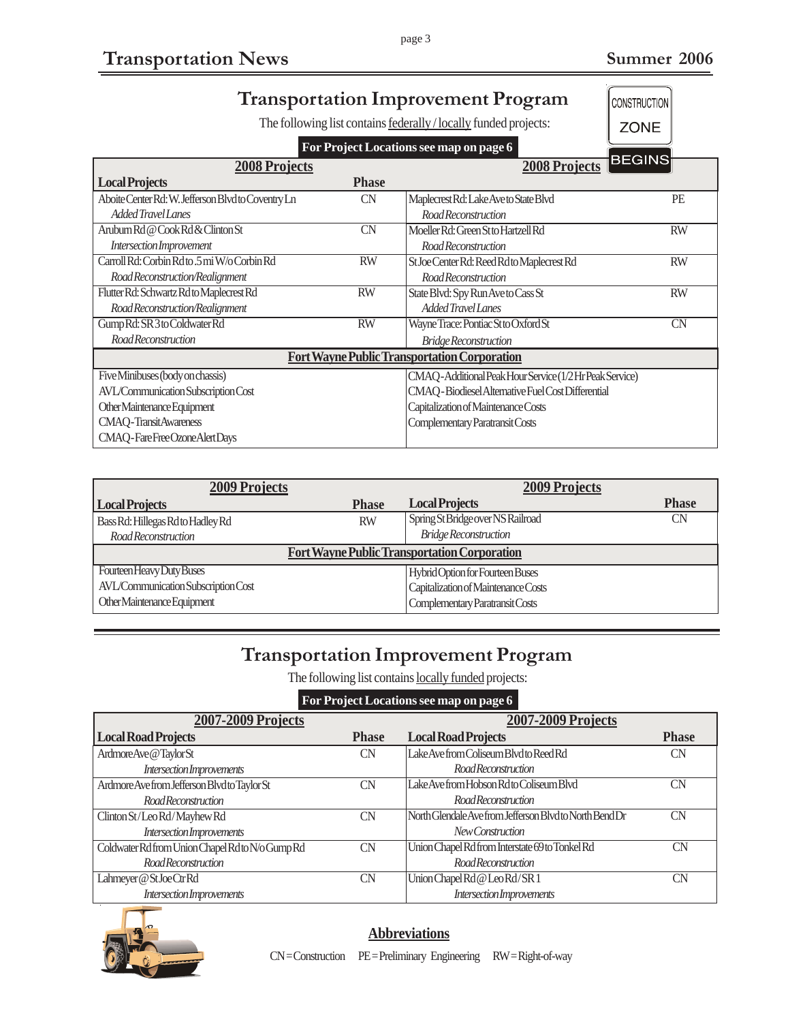| <b>Transportation Improvement Program</b><br>CONSTRUCTION |                 |                                                                         |               |  |  |
|-----------------------------------------------------------|-----------------|-------------------------------------------------------------------------|---------------|--|--|
|                                                           |                 | The following list contains <b>federally</b> / locally funded projects: | <b>ZONE</b>   |  |  |
| For Project Locations see map on page 6                   |                 |                                                                         |               |  |  |
| <b>2008 Projects</b>                                      |                 | 2008 Projects                                                           | <b>BEGINS</b> |  |  |
| <b>Local Projects</b>                                     | <b>Phase</b>    |                                                                         |               |  |  |
| Aboite Center Rd: W. Jefferson Blvd to Coventry Ln        | CN              | Maplecrest Rd: Lake Ave to State Blvd                                   | PE            |  |  |
| Added Travel Lanes                                        |                 | Road Reconstruction                                                     |               |  |  |
| Aruburn Rd @ Cook Rd & Clinton St                         | <b>CN</b>       | Moeller Rd: Green St to Hartzell Rd                                     | <b>RW</b>     |  |  |
| Intersection Improvement                                  |                 | Road Reconstruction                                                     |               |  |  |
| Carroll Rd: Corbin Rdto 5 mi W/o Corbin Rd                | <b>RW</b>       | St Joe Center Rd: Reed Rd to Maplecrest Rd                              | <b>RW</b>     |  |  |
| Road Reconstruction/Realignment                           |                 | Road Reconstruction                                                     |               |  |  |
| Flutter Rd: Schwartz Rd to Maplecrest Rd                  | <b>RW</b>       | State Blvd: Spy Run Ave to Cass St                                      | <b>RW</b>     |  |  |
| Road Reconstruction/Realignment                           |                 | Added Travel Lanes                                                      |               |  |  |
| Gump Rd: SR 3 to Coldwater Rd                             | $\overline{RW}$ | Wayne Trace: Pontiac St to Oxford St                                    | <b>CN</b>     |  |  |
| Road Reconstruction                                       |                 | <b>Bridge Reconstruction</b>                                            |               |  |  |
| <b>Fort Wayne Public Transportation Corporation</b>       |                 |                                                                         |               |  |  |
| Five Minibuses (body on chassis)                          |                 | CMAQ-Additional Peak Hour Service (1/2 Hr Peak Service)                 |               |  |  |
| AVL/Communication Subscription Cost                       |                 | CMAQ - Biodiesel Alternative Fuel Cost Differential                     |               |  |  |
| Other Maintenance Equipment                               |                 | Capitalization of Maintenance Costs                                     |               |  |  |
| <b>CMAQ-TransitAwareness</b>                              |                 | Complementary Paratransit Costs                                         |               |  |  |
| CMAQ-FareFreeOzoneAlertDays                               |                 |                                                                         |               |  |  |

| <b>2009 Projects</b>                                |              | <b>2009 Projects</b>                |              |  |  |
|-----------------------------------------------------|--------------|-------------------------------------|--------------|--|--|
| <b>Local Projects</b>                               | <b>Phase</b> | <b>Local Projects</b>               | <b>Phase</b> |  |  |
| Bass Rd: Hillegas Rd to Hadley Rd                   | <b>RW</b>    | Spring St Bridge over NS Railroad   | CN           |  |  |
| Road Reconstruction                                 |              | <b>Bridge Reconstruction</b>        |              |  |  |
| <b>Fort Wayne Public Transportation Corporation</b> |              |                                     |              |  |  |
| Fourteen Heavy Duty Buses                           |              | Hybrid Option for Fourteen Buses    |              |  |  |
| AVL/Communication Subscription Cost                 |              | Capitalization of Maintenance Costs |              |  |  |
| Other Maintenance Equipment                         |              | Complementary Paratransit Costs     |              |  |  |

# **Transportation Improvement Program**

The following list contains locally funded projects:

**For Project Locations see map on page 6**

| Tot Troject Hoemaans see map on page of |                                                         |              |  |  |
|-----------------------------------------|---------------------------------------------------------|--------------|--|--|
|                                         | <b>2007-2009 Projects</b>                               |              |  |  |
| <b>Phase</b>                            | <b>Local Road Projects</b>                              | <b>Phase</b> |  |  |
| CN                                      | Lake Ave from Coliseum Blvd to Reed Rd                  | <b>CN</b>    |  |  |
|                                         | <b>Road Reconstruction</b>                              |              |  |  |
| CN                                      | Lake Ave from Hobson Rd to Coliseum Blvd                | <b>CN</b>    |  |  |
|                                         | <b>Road Reconstruction</b>                              |              |  |  |
| CN                                      | North Glendale Ave from Jefferson Blyd to North Bend Dr | CN           |  |  |
|                                         | New Construction                                        |              |  |  |
| <b>CN</b>                               | Union Chapel Rd from Interstate 69 to Tonkel Rd         | <b>CN</b>    |  |  |
|                                         | <b>Road Reconstruction</b>                              |              |  |  |
| <b>CN</b>                               | Union Chapel Rd @ Leo Rd/SR1                            | <b>CN</b>    |  |  |
|                                         | Intersection Improvements                               |              |  |  |
|                                         |                                                         |              |  |  |



#### **Abbreviations**

CN = Construction PE = Preliminary Engineering RW = Right-of-way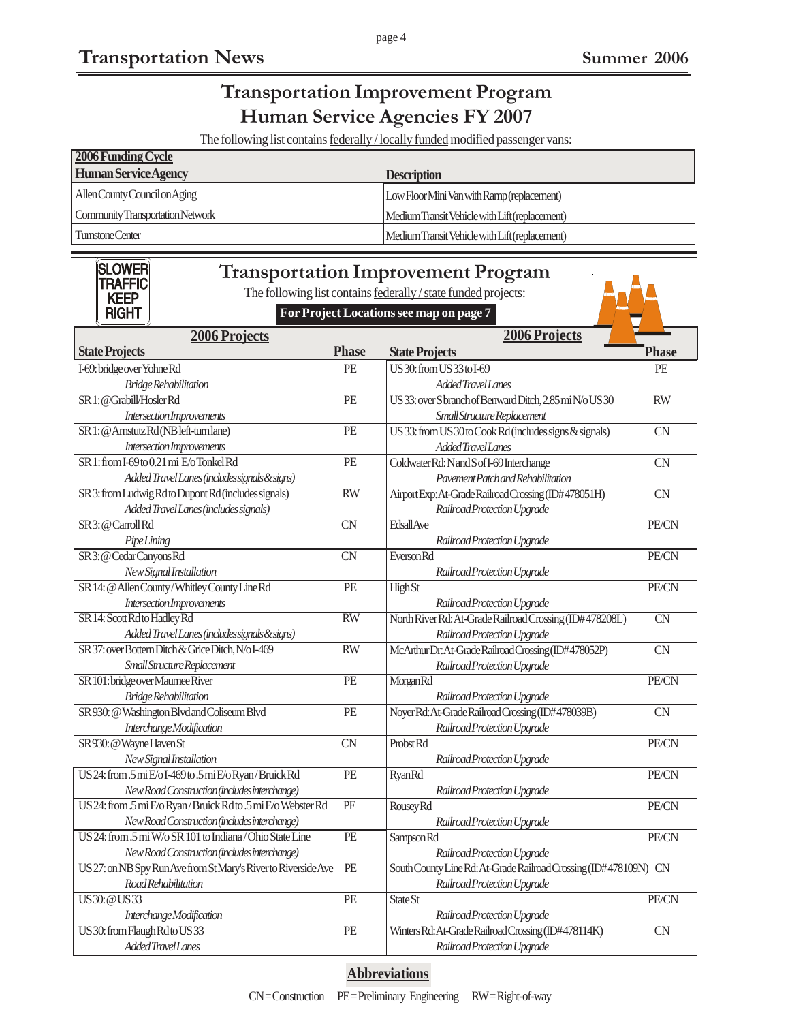*Added Travel Lanes*

# **Transportation Improvement Program Human Service Agencies FY 2007**

The following list contains **federally** / locally funded modified passenger vans:

| 2006 Funding Cycle               |                                                |
|----------------------------------|------------------------------------------------|
| <b>Human Service Agency</b>      | <b>Description</b>                             |
| Allen County Council on Aging    | Low Floor Mini Van with Ramp (replacement)     |
| Community Transportation Network | Medium Transit Vehicle with Lift (replacement) |
| Turnstone Center                 | Medium Transit Vehicle with Lift (replacement) |

| 2006 Projects<br>2006 Projects<br><b>Phase</b><br><b>Phase</b><br><b>State Projects</b><br><b>State Projects</b><br>PE<br>US30: from US33 to I-69<br>I-69: bridge over Yohne Rd<br>PE<br>AddedTravelLanes<br><b>Bridge Rehabilitation</b><br>SR 1: @Grabill/HoslerRd<br>PE<br>US33: over S branch of Benward Ditch, 2.85 mi N/o US30<br><b>RW</b><br>Intersection Improvements<br>Small Structure Replacement<br>PE<br>SR 1: @ Amstutz Rd (NB left-turn lane)<br>US 33: from US 30 to Cook Rd (includes signs & signals)<br><b>CN</b><br>AddedTravelLanes<br>Intersection Improvements<br>SR 1: from I-69 to 0.21 mi E/o Tonkel Rd<br>PE<br>Coldwater Rd: N and S of I-69 Interchange<br><b>CN</b><br>Pavement Patch and Rehabilitation<br>Added Travel Lanes (includes signals & signs)<br>RW<br>SR 3: from Ludwig Rd to Dupont Rd (includes signals)<br>Airport Exp: At-Grade Railroad Crossing (ID#478051H)<br><b>CN</b><br>Added Travel Lanes (includes signals)<br>Railroad Protection Upgrade<br>$\overline{\text{CN}}$<br>SR 3: @ Carroll Rd<br><b>EdsallAve</b><br>PE/CN<br>PipeLining<br>Railroad Protection Upgrade<br>$\overline{\text{CN}}$<br>SR3: @ Cedar Canyons Rd<br><b>EversonRd</b><br>PE/CN<br>New Signal Installation<br>Railroad Protection Upgrade<br>SR 14: @ Allen County/Whitley County Line Rd<br>PE<br><b>HighSt</b><br>PE/CN<br>Intersection Improvements<br>Railroad Protection Upgrade | <b>SLOWER</b><br><b>Transportation Improvement Program</b><br><b>TRAFFIC</b><br>The following list contains federally / state funded projects:<br><b>KEEP</b><br><b>RIGHT</b><br>For Project Locations see map on page 7 |  |  |  |  |  |
|-----------------------------------------------------------------------------------------------------------------------------------------------------------------------------------------------------------------------------------------------------------------------------------------------------------------------------------------------------------------------------------------------------------------------------------------------------------------------------------------------------------------------------------------------------------------------------------------------------------------------------------------------------------------------------------------------------------------------------------------------------------------------------------------------------------------------------------------------------------------------------------------------------------------------------------------------------------------------------------------------------------------------------------------------------------------------------------------------------------------------------------------------------------------------------------------------------------------------------------------------------------------------------------------------------------------------------------------------------------------------------------------------------------------------|--------------------------------------------------------------------------------------------------------------------------------------------------------------------------------------------------------------------------|--|--|--|--|--|
|                                                                                                                                                                                                                                                                                                                                                                                                                                                                                                                                                                                                                                                                                                                                                                                                                                                                                                                                                                                                                                                                                                                                                                                                                                                                                                                                                                                                                       |                                                                                                                                                                                                                          |  |  |  |  |  |
|                                                                                                                                                                                                                                                                                                                                                                                                                                                                                                                                                                                                                                                                                                                                                                                                                                                                                                                                                                                                                                                                                                                                                                                                                                                                                                                                                                                                                       |                                                                                                                                                                                                                          |  |  |  |  |  |
|                                                                                                                                                                                                                                                                                                                                                                                                                                                                                                                                                                                                                                                                                                                                                                                                                                                                                                                                                                                                                                                                                                                                                                                                                                                                                                                                                                                                                       |                                                                                                                                                                                                                          |  |  |  |  |  |
|                                                                                                                                                                                                                                                                                                                                                                                                                                                                                                                                                                                                                                                                                                                                                                                                                                                                                                                                                                                                                                                                                                                                                                                                                                                                                                                                                                                                                       |                                                                                                                                                                                                                          |  |  |  |  |  |
|                                                                                                                                                                                                                                                                                                                                                                                                                                                                                                                                                                                                                                                                                                                                                                                                                                                                                                                                                                                                                                                                                                                                                                                                                                                                                                                                                                                                                       |                                                                                                                                                                                                                          |  |  |  |  |  |
|                                                                                                                                                                                                                                                                                                                                                                                                                                                                                                                                                                                                                                                                                                                                                                                                                                                                                                                                                                                                                                                                                                                                                                                                                                                                                                                                                                                                                       |                                                                                                                                                                                                                          |  |  |  |  |  |
|                                                                                                                                                                                                                                                                                                                                                                                                                                                                                                                                                                                                                                                                                                                                                                                                                                                                                                                                                                                                                                                                                                                                                                                                                                                                                                                                                                                                                       |                                                                                                                                                                                                                          |  |  |  |  |  |
|                                                                                                                                                                                                                                                                                                                                                                                                                                                                                                                                                                                                                                                                                                                                                                                                                                                                                                                                                                                                                                                                                                                                                                                                                                                                                                                                                                                                                       |                                                                                                                                                                                                                          |  |  |  |  |  |
|                                                                                                                                                                                                                                                                                                                                                                                                                                                                                                                                                                                                                                                                                                                                                                                                                                                                                                                                                                                                                                                                                                                                                                                                                                                                                                                                                                                                                       |                                                                                                                                                                                                                          |  |  |  |  |  |
|                                                                                                                                                                                                                                                                                                                                                                                                                                                                                                                                                                                                                                                                                                                                                                                                                                                                                                                                                                                                                                                                                                                                                                                                                                                                                                                                                                                                                       |                                                                                                                                                                                                                          |  |  |  |  |  |
|                                                                                                                                                                                                                                                                                                                                                                                                                                                                                                                                                                                                                                                                                                                                                                                                                                                                                                                                                                                                                                                                                                                                                                                                                                                                                                                                                                                                                       |                                                                                                                                                                                                                          |  |  |  |  |  |
|                                                                                                                                                                                                                                                                                                                                                                                                                                                                                                                                                                                                                                                                                                                                                                                                                                                                                                                                                                                                                                                                                                                                                                                                                                                                                                                                                                                                                       |                                                                                                                                                                                                                          |  |  |  |  |  |
|                                                                                                                                                                                                                                                                                                                                                                                                                                                                                                                                                                                                                                                                                                                                                                                                                                                                                                                                                                                                                                                                                                                                                                                                                                                                                                                                                                                                                       |                                                                                                                                                                                                                          |  |  |  |  |  |
|                                                                                                                                                                                                                                                                                                                                                                                                                                                                                                                                                                                                                                                                                                                                                                                                                                                                                                                                                                                                                                                                                                                                                                                                                                                                                                                                                                                                                       |                                                                                                                                                                                                                          |  |  |  |  |  |
|                                                                                                                                                                                                                                                                                                                                                                                                                                                                                                                                                                                                                                                                                                                                                                                                                                                                                                                                                                                                                                                                                                                                                                                                                                                                                                                                                                                                                       |                                                                                                                                                                                                                          |  |  |  |  |  |
|                                                                                                                                                                                                                                                                                                                                                                                                                                                                                                                                                                                                                                                                                                                                                                                                                                                                                                                                                                                                                                                                                                                                                                                                                                                                                                                                                                                                                       |                                                                                                                                                                                                                          |  |  |  |  |  |
|                                                                                                                                                                                                                                                                                                                                                                                                                                                                                                                                                                                                                                                                                                                                                                                                                                                                                                                                                                                                                                                                                                                                                                                                                                                                                                                                                                                                                       |                                                                                                                                                                                                                          |  |  |  |  |  |
|                                                                                                                                                                                                                                                                                                                                                                                                                                                                                                                                                                                                                                                                                                                                                                                                                                                                                                                                                                                                                                                                                                                                                                                                                                                                                                                                                                                                                       |                                                                                                                                                                                                                          |  |  |  |  |  |
| $\overline{RW}$<br>North River Rd: At-Grade Railroad Crossing (ID#478208L)<br>SR 14: Scott Rd to Hadley Rd<br><b>CN</b>                                                                                                                                                                                                                                                                                                                                                                                                                                                                                                                                                                                                                                                                                                                                                                                                                                                                                                                                                                                                                                                                                                                                                                                                                                                                                               |                                                                                                                                                                                                                          |  |  |  |  |  |
| Added Travel Lanes (includes signals & signs)<br>Railroad Protection Upgrade                                                                                                                                                                                                                                                                                                                                                                                                                                                                                                                                                                                                                                                                                                                                                                                                                                                                                                                                                                                                                                                                                                                                                                                                                                                                                                                                          |                                                                                                                                                                                                                          |  |  |  |  |  |
| SR 37: over Bottern Ditch & Grice Ditch, N/o I-469<br>$\overline{RW}$<br>McArthur Dr. At-Grade Railroad Crossing (ID#478052P)<br>$\overline{\text{CN}}$                                                                                                                                                                                                                                                                                                                                                                                                                                                                                                                                                                                                                                                                                                                                                                                                                                                                                                                                                                                                                                                                                                                                                                                                                                                               |                                                                                                                                                                                                                          |  |  |  |  |  |
| Small Structure Replacement<br>Railroad Protection Upgrade                                                                                                                                                                                                                                                                                                                                                                                                                                                                                                                                                                                                                                                                                                                                                                                                                                                                                                                                                                                                                                                                                                                                                                                                                                                                                                                                                            |                                                                                                                                                                                                                          |  |  |  |  |  |
| SR 101: bridge over Maumee River<br>$\overline{PE}$<br>MorganRd<br>PE/CN                                                                                                                                                                                                                                                                                                                                                                                                                                                                                                                                                                                                                                                                                                                                                                                                                                                                                                                                                                                                                                                                                                                                                                                                                                                                                                                                              |                                                                                                                                                                                                                          |  |  |  |  |  |
| <b>Bridge Rehabilitation</b><br>Railroad Protection Upgrade                                                                                                                                                                                                                                                                                                                                                                                                                                                                                                                                                                                                                                                                                                                                                                                                                                                                                                                                                                                                                                                                                                                                                                                                                                                                                                                                                           |                                                                                                                                                                                                                          |  |  |  |  |  |
| SR 930: @ Washington Blvd and Coliseum Blvd<br>PE<br>Noyer Rd: At-Grade Railroad Crossing (ID#478039B)<br>CN                                                                                                                                                                                                                                                                                                                                                                                                                                                                                                                                                                                                                                                                                                                                                                                                                                                                                                                                                                                                                                                                                                                                                                                                                                                                                                          |                                                                                                                                                                                                                          |  |  |  |  |  |
| Interchange Modification<br>Railroad Protection Upgrade                                                                                                                                                                                                                                                                                                                                                                                                                                                                                                                                                                                                                                                                                                                                                                                                                                                                                                                                                                                                                                                                                                                                                                                                                                                                                                                                                               |                                                                                                                                                                                                                          |  |  |  |  |  |
| SR930: @ Wayne Haven St<br><b>CN</b><br>Probst <sub>Rd</sub><br>PE/CN                                                                                                                                                                                                                                                                                                                                                                                                                                                                                                                                                                                                                                                                                                                                                                                                                                                                                                                                                                                                                                                                                                                                                                                                                                                                                                                                                 |                                                                                                                                                                                                                          |  |  |  |  |  |
| New Signal Installation<br>Railroad Protection Upgrade                                                                                                                                                                                                                                                                                                                                                                                                                                                                                                                                                                                                                                                                                                                                                                                                                                                                                                                                                                                                                                                                                                                                                                                                                                                                                                                                                                |                                                                                                                                                                                                                          |  |  |  |  |  |
| US24: from .5 mi E/o I-469 to .5 mi E/o Ryan/Bruick Rd<br>$\overline{PE}$<br><b>RyanRd</b><br>PE/CN                                                                                                                                                                                                                                                                                                                                                                                                                                                                                                                                                                                                                                                                                                                                                                                                                                                                                                                                                                                                                                                                                                                                                                                                                                                                                                                   |                                                                                                                                                                                                                          |  |  |  |  |  |
| New Road Construction (includes interchange)<br>Railroad Protection Upgrade                                                                                                                                                                                                                                                                                                                                                                                                                                                                                                                                                                                                                                                                                                                                                                                                                                                                                                                                                                                                                                                                                                                                                                                                                                                                                                                                           |                                                                                                                                                                                                                          |  |  |  |  |  |
| US 24: from .5 mi E/o Ryan / Bruick Rd to .5 mi E/o Webster Rd<br>PE<br>Rousey Rd<br>PE/CN                                                                                                                                                                                                                                                                                                                                                                                                                                                                                                                                                                                                                                                                                                                                                                                                                                                                                                                                                                                                                                                                                                                                                                                                                                                                                                                            |                                                                                                                                                                                                                          |  |  |  |  |  |
| New Road Construction (includes interchange)<br>Railroad Protection Upgrade                                                                                                                                                                                                                                                                                                                                                                                                                                                                                                                                                                                                                                                                                                                                                                                                                                                                                                                                                                                                                                                                                                                                                                                                                                                                                                                                           |                                                                                                                                                                                                                          |  |  |  |  |  |
| US 24: from .5 mi W/o SR 101 to Indiana/Ohio State Line<br>$\overline{PE}$<br>Sampson Rd<br><b>PE/CN</b>                                                                                                                                                                                                                                                                                                                                                                                                                                                                                                                                                                                                                                                                                                                                                                                                                                                                                                                                                                                                                                                                                                                                                                                                                                                                                                              |                                                                                                                                                                                                                          |  |  |  |  |  |
| New Road Construction (includes interchange)<br>Railroad Protection Upgrade                                                                                                                                                                                                                                                                                                                                                                                                                                                                                                                                                                                                                                                                                                                                                                                                                                                                                                                                                                                                                                                                                                                                                                                                                                                                                                                                           |                                                                                                                                                                                                                          |  |  |  |  |  |
| US 27: on NB Spy Run Ave from St Mary's River to Riverside Ave<br>PE<br>South County Line Rd: At-Grade Railroad Crossing (ID#478109N) CN                                                                                                                                                                                                                                                                                                                                                                                                                                                                                                                                                                                                                                                                                                                                                                                                                                                                                                                                                                                                                                                                                                                                                                                                                                                                              |                                                                                                                                                                                                                          |  |  |  |  |  |
| Road Rehabilitation<br>Railroad Protection Upgrade                                                                                                                                                                                                                                                                                                                                                                                                                                                                                                                                                                                                                                                                                                                                                                                                                                                                                                                                                                                                                                                                                                                                                                                                                                                                                                                                                                    |                                                                                                                                                                                                                          |  |  |  |  |  |
| PE<br><b>PE/CN</b><br><b>US30: @US33</b><br>State St                                                                                                                                                                                                                                                                                                                                                                                                                                                                                                                                                                                                                                                                                                                                                                                                                                                                                                                                                                                                                                                                                                                                                                                                                                                                                                                                                                  |                                                                                                                                                                                                                          |  |  |  |  |  |
| Interchange Modification<br>Railroad Protection Upgrade                                                                                                                                                                                                                                                                                                                                                                                                                                                                                                                                                                                                                                                                                                                                                                                                                                                                                                                                                                                                                                                                                                                                                                                                                                                                                                                                                               |                                                                                                                                                                                                                          |  |  |  |  |  |
| US 30: from Flaugh Rd to US 33<br>PE<br>Winters Rd: At-Grade Railroad Crossing (ID#478114K)<br>${\rm CN}$                                                                                                                                                                                                                                                                                                                                                                                                                                                                                                                                                                                                                                                                                                                                                                                                                                                                                                                                                                                                                                                                                                                                                                                                                                                                                                             |                                                                                                                                                                                                                          |  |  |  |  |  |

#### **Abbreviations**

*Railroad Protection Upgrade*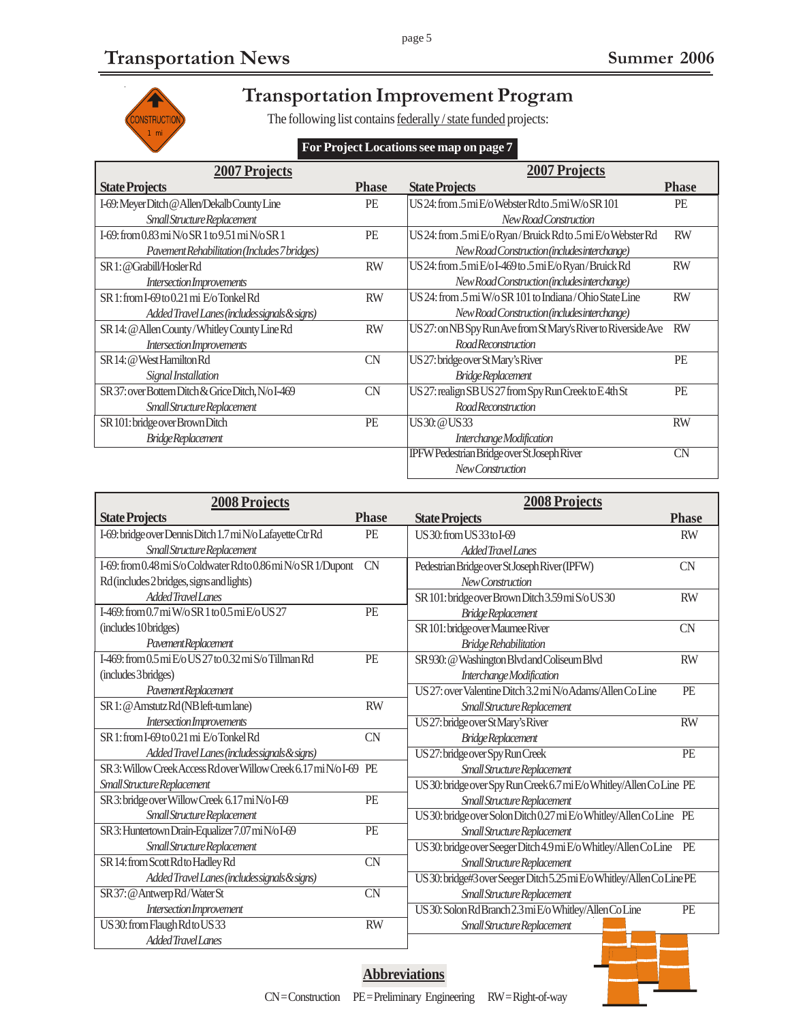1 mi

CONSTRUCTION

 $\hat{\mathcal{E}}$ 

# **Transportation Improvement Program**

page 5

The following list contains federally / state funded projects:

#### **For Project Locations see map on page 7**

| <b>2007 Projects</b>                                |              | <b>2007 Projects</b>                                           |              |
|-----------------------------------------------------|--------------|----------------------------------------------------------------|--------------|
| <b>State Projects</b>                               | <b>Phase</b> | <b>State Projects</b>                                          | <b>Phase</b> |
| I-69: Meyer Ditch @ Allen/Dekalb County Line        | PE           | US 24: from .5 mi E/o Webster Rdto .5 mi W/o SR 101            | <b>PE</b>    |
| Small Structure Replacement                         |              | New Road Construction                                          |              |
| I-69: from $0.83$ mi N/o SR 1 to $9.51$ mi N/o SR 1 | PE           | US 24: from .5 mi E/o Ryan/Bruick Rd to .5 mi E/o Webster Rd   | <b>RW</b>    |
| Pavement Rehabilitation (Includes 7 bridges)        |              | New Road Construction (includes interchange)                   |              |
| SR 1: @Grabill/Hosler Rd                            | <b>RW</b>    | US 24: from .5 mi E/o I-469 to .5 mi E/o Ryan/Bruick Rd        | <b>RW</b>    |
| Intersection Improvements                           |              | New Road Construction (includes interchange)                   |              |
| SR 1: from I-69 to 0.21 mi E/o Tonkel Rd            | <b>RW</b>    | US 24: from .5 mi W/o SR 101 to Indiana/Ohio State Line        | <b>RW</b>    |
| Added Travel Lanes (includes signals & signs)       |              | New Road Construction (includes interchange)                   |              |
| SR 14: @ Allen County/Whitley County Line Rd        | <b>RW</b>    | US 27: on NB Spy Run Ave from St Mary's River to Riverside Ave | <b>RW</b>    |
| Intersection Improvements                           |              | Road Reconstruction                                            |              |
| SR 14: @ West Hamilton Rd                           | <b>CN</b>    | US 27: bridge over St Mary's River                             | PE           |
| Signal Installation                                 |              | <b>Bridge Replacement</b>                                      |              |
| SR 37: over Bottern Ditch & Grice Ditch, N/o I-469  | <b>CN</b>    | US 27: realign SB US 27 from Spy Run Creek to E4th St          | PE           |
| Small Structure Replacement                         |              | <b>RoadReconstruction</b>                                      |              |
| SR 101: bridge over Brown Ditch                     | PE           | US 30: @ US 33                                                 | <b>RW</b>    |
| <b>BridgeReplacement</b>                            |              | Interchange Modification                                       |              |
|                                                     |              | IPFW Pedestrian Bridge over St Joseph River                    | CN           |
|                                                     |              | New Construction                                               |              |

| <b>2008 Projects</b>                                           |              | <b>2008 Projects</b>                                                   |                 |
|----------------------------------------------------------------|--------------|------------------------------------------------------------------------|-----------------|
| <b>State Projects</b>                                          | <b>Phase</b> | <b>State Projects</b>                                                  | <b>Phase</b>    |
| I-69: bridge over Dennis Ditch 1.7 mi N/o Lafayette Ctr Rd     | PE           | US 30: from US 33 to I-69                                              | <b>RW</b>       |
| Small Structure Replacement                                    |              | Added Travel Lanes                                                     |                 |
| I-69: from 0.48 mi S/o Coldwater Rd to 0.86 mi N/o SR 1/Dupont | <b>CN</b>    | Pedestrian Bridge over St Joseph River (IPFW)                          | <b>CN</b>       |
| Rd (includes 2 bridges, signs and lights)                      |              | New Construction                                                       |                 |
| Added Travel Lanes                                             |              | SR 101: bridge over Brown Ditch 3.59 mi S/o US 30                      | <b>RW</b>       |
| I-469: from 0.7 mi W/o SR 1 to 0.5 mi E/o US 27                | PE           | Bridge Replacement                                                     |                 |
| (includes 10 bridges)                                          |              | SR 101: bridge over Maumee River                                       | <b>CN</b>       |
| Pavement Replacement                                           |              | <b>Bridge Rehabilitation</b>                                           |                 |
| I-469: from 0.5 mi E/o US 27 to 0.32 mi S/o Tillman Rd         | PE           | SR 930: @ Washington Blvd and Coliseum Blvd                            | <b>RW</b>       |
| (includes 3 bridges)                                           |              | Interchange Modification                                               |                 |
| Pavement Replacement                                           |              | US 27: over Valentine Ditch 3.2 mi N/o Adams/Allen Co Line             | PE              |
| SR 1: @ Amstutz Rd (NB left-turn lane)                         | <b>RW</b>    | Small Structure Replacement                                            |                 |
| Intersection Improvements                                      |              | US 27: bridge over St Mary's River                                     | <b>RW</b>       |
| SR 1: from I-69 to 0.21 mi E/o Tonkel Rd                       | <b>CN</b>    | Bridge Replacement                                                     |                 |
| Added Travel Lanes (includes signals & signs)                  |              | US 27: bridge over Spy Run Creek                                       | $\overline{PE}$ |
| SR 3: Willow Creek Access Rdover Willow Creek 6.17 mi N/o I-69 | PE           | Small Structure Replacement                                            |                 |
| Small Structure Replacement                                    |              | US 30: bridge over Spy Run Creek 6.7 mi E/o Whitley/Allen Co Line PE   |                 |
| SR 3: bridge over Willow Creek 6.17 mi N/oI-69                 | PE           | Small Structure Replacement                                            |                 |
| Small Structure Replacement                                    |              | US 30: bridge over Solon Ditch 0.27 mi E/o Whitley/Allen Co Line PE    |                 |
| SR 3: Huntertown Drain-Equalizer 7.07 mi N/o I-69              | PE           | Small Structure Replacement                                            |                 |
| Small Structure Replacement                                    |              | US 30: bridge over Seeger Ditch 4.9 mi E/o Whitley/Allen Co Line PE    |                 |
| SR 14: from Scott Rd to Hadley Rd                              | <b>CN</b>    | Small Structure Replacement                                            |                 |
| Added Travel Lanes (includes signals & signs)                  |              | US 30: bridge#3 over Seeger Ditch 5.25 mi E/o Whitley/Allen Co Line PE |                 |
| SR 37: @ Antwerp Rd/Water St                                   | <b>CN</b>    | Small Structure Replacement                                            |                 |
| Intersection Improvement                                       |              | US 30: Solon Rd Branch 2.3 mi E/o Whitley/Allen Co Line                | PE              |
| US 30: from Flaugh Rd to US 33                                 | <b>RW</b>    | Small Structure Replacement                                            |                 |
| Added Travel Lanes                                             |              |                                                                        |                 |

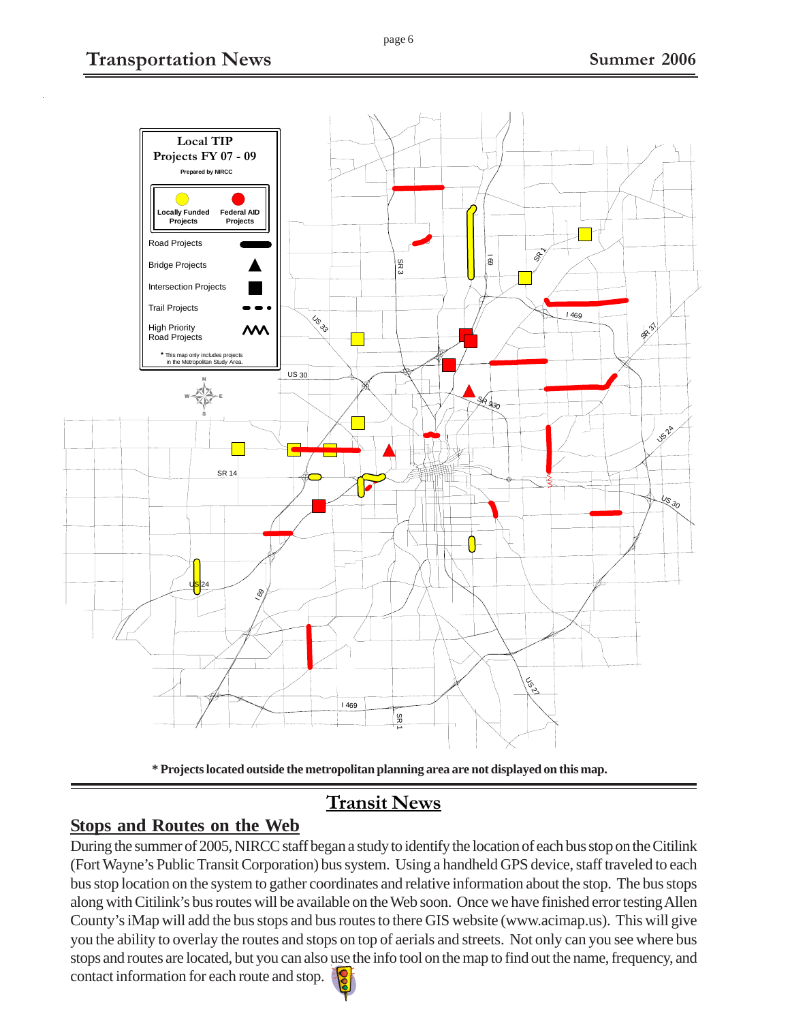



# **Transit News**

## **Stops and Routes on the Web**

During the summer of 2005, NIRCC staff began a study to identify the location of each bus stop on the Citilink (Fort Wayne's Public Transit Corporation) bus system. Using a handheld GPS device, staff traveled to each bus stop location on the system to gather coordinates and relative information about the stop. The bus stops along with Citilink's bus routes will be available on the Web soon. Once we have finished error testing Allen County's iMap will add the bus stops and bus routes to there GIS website (www.acimap.us). This will give you the ability to overlay the routes and stops on top of aerials and streets. Not only can you see where bus stops and routes are located, but you can also use the info tool on the map to find out the name, frequency, and contact information for each route and stop.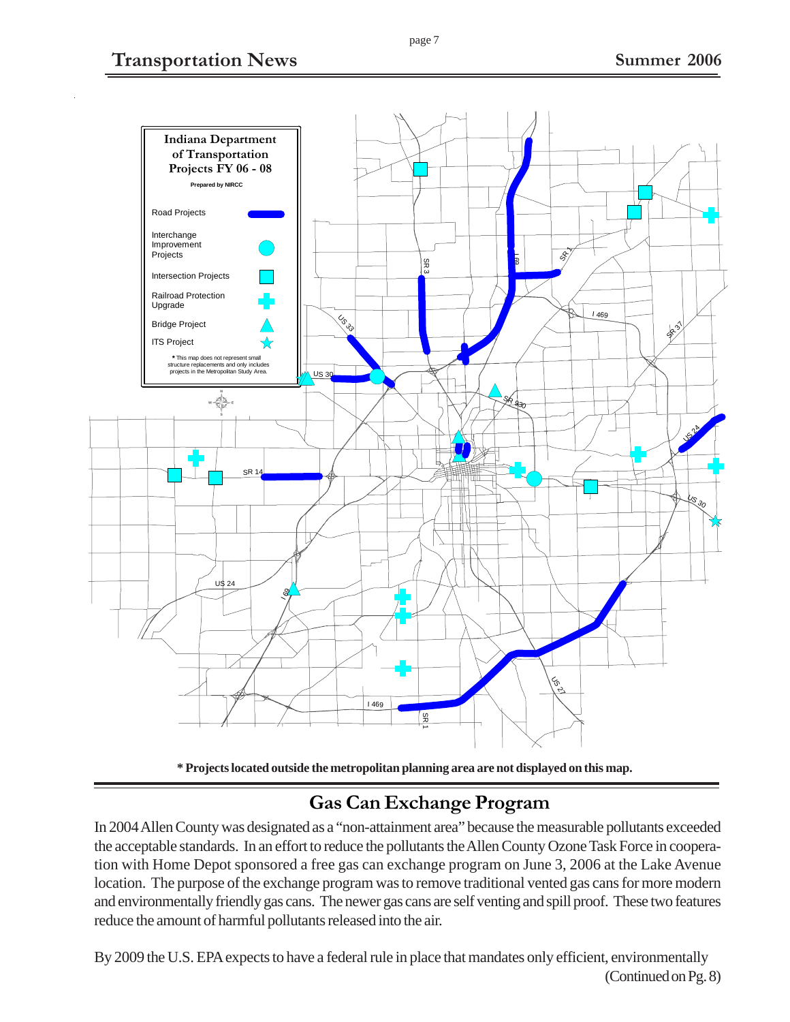## **Transportation News Summer 2006**





## **Gas Can Exchange Program**

In 2004 Allen County was designated as a "non-attainment area" because the measurable pollutants exceeded the acceptable standards. In an effort to reduce the pollutants the Allen County Ozone Task Force in cooperation with Home Depot sponsored a free gas can exchange program on June 3, 2006 at the Lake Avenue location. The purpose of the exchange program was to remove traditional vented gas cans for more modern and environmentally friendly gas cans. The newer gas cans are self venting and spill proof. These two features reduce the amount of harmful pollutants released into the air.

By 2009 the U.S. EPA expects to have a federal rule in place that mandates only efficient, environmentally (Continued on Pg. 8)